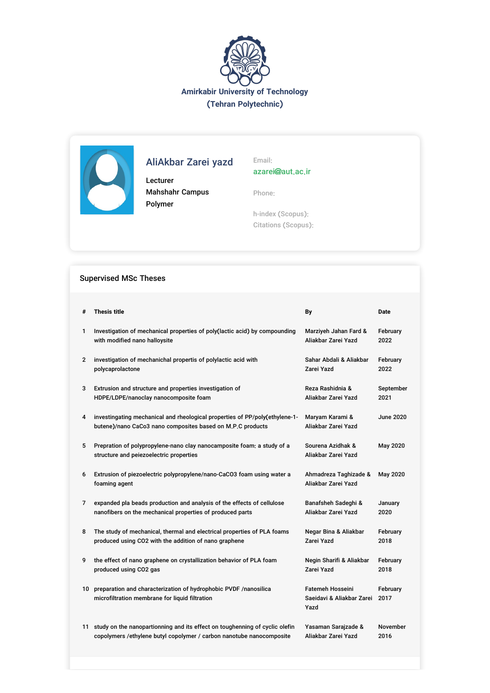



# AliAkbar Zarei yazd

Lecturer Mahshahr Campus Polymer

Email: azarei@aut.ac.ir

Phone:

h-index (Scopus): Citations (Scopus):

# Supervised MSc Theses

| #            | <b>Thesis title</b>                                                                                                                       | By                                                           | <b>Date</b>      |
|--------------|-------------------------------------------------------------------------------------------------------------------------------------------|--------------------------------------------------------------|------------------|
| 1            | Investigation of mechanical properties of poly(lactic acid) by compounding                                                                | Marziyeh Jahan Fard &                                        | February         |
|              | with modified nano halloysite                                                                                                             | Aliakbar Zarei Yazd                                          | 2022             |
| $\mathbf{2}$ | investigation of mechanichal propertis of polylactic acid with                                                                            | Sahar Abdali & Aliakbar                                      | February         |
|              | polycaprolactone                                                                                                                          | Zarei Yazd                                                   | 2022             |
| 3            | Extrusion and structure and properties investigation of                                                                                   | Reza Rashidnia &                                             | September        |
|              | HDPE/LDPE/nanoclay nanocomposite foam                                                                                                     | Aliakbar Zarei Yazd                                          | 2021             |
| 4            | investingating mechanical and rheological properties of PP/poly(ethylene-1-<br>butene)/nano CaCo3 nano composites based on M.P.C products | Maryam Karami &<br>Aliakbar Zarei Yazd                       | June 2020        |
| 5            | Prepration of polypropylene-nano clay nanocamposite foam: a study of a<br>structure and peiezoelectric properties                         | Sourena Azidhak &<br>Aliakbar Zarei Yazd                     | May 2020         |
| 6            | Extrusion of piezoelectric polypropylene/nano-CaCO3 foam using water a<br>foaming agent                                                   | Ahmadreza Taghizade &<br>Aliakbar Zarei Yazd                 | May 2020         |
| 7            | expanded pla beads production and analysis of the effects of cellulose                                                                    | Banafsheh Sadeghi &                                          | January          |
|              | nanofibers on the mechanical properties of produced parts                                                                                 | Aliakbar Zarei Yazd                                          | 2020             |
| 8            | The study of mechanical, thermal and electrical properties of PLA foams                                                                   | Negar Bina & Aliakbar                                        | February         |
|              | produced using CO2 with the addition of nano graphene                                                                                     | Zarei Yazd                                                   | 2018             |
| 9            | the effect of nano graphene on crystallization behavior of PLA foam                                                                       | Negin Sharifi & Aliakbar                                     | February         |
|              | produced using CO2 gas                                                                                                                    | Zarei Yazd                                                   | 2018             |
|              | 10 preparation and characterization of hydrophobic PVDF /nanosilica<br>microfiltration membrane for liquid filtration                     | <b>Fatemeh Hosseini</b><br>Saeidavi & Aliakbar Zarei<br>Yazd | February<br>2017 |
|              | 11 study on the nanopartionning and its effect on toughenning of cyclic olefin                                                            | Yasaman Sarajzade &                                          | November         |
|              | copolymers /ethylene butyl copolymer / carbon nanotube nanocomposite                                                                      | Aliakbar Zarei Yazd                                          | 2016             |